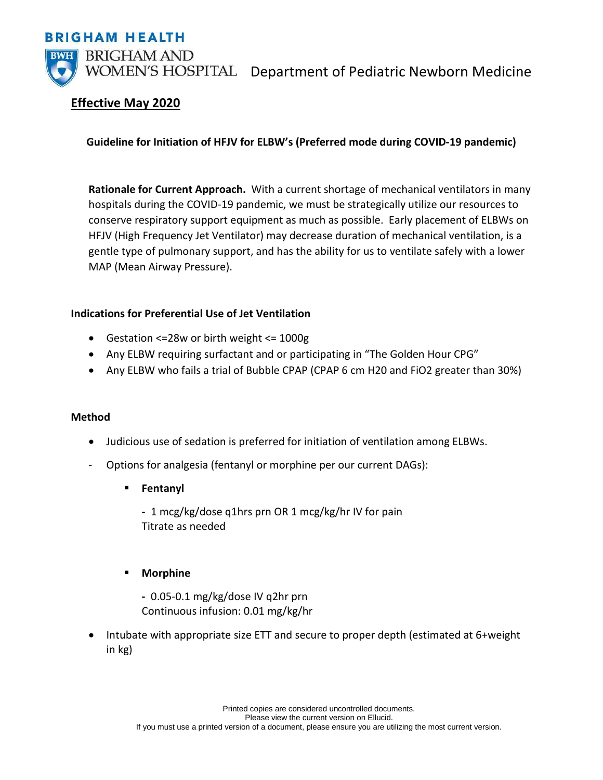



WOMEN'S HOSPITAL Department of Pediatric Newborn Medicine

# **Effective May 2020**

# **Guideline for Initiation of HFJV for ELBW's (Preferred mode during COVID-19 pandemic)**

**Rationale for Current Approach.** With a current shortage of mechanical ventilators in many hospitals during the COVID-19 pandemic, we must be strategically utilize our resources to conserve respiratory support equipment as much as possible. Early placement of ELBWs on HFJV (High Frequency Jet Ventilator) may decrease duration of mechanical ventilation, is a gentle type of pulmonary support, and has the ability for us to ventilate safely with a lower MAP (Mean Airway Pressure).

### **Indications for Preferential Use of Jet Ventilation**

- Gestation <=28w or birth weight <= 1000g
- Any ELBW requiring surfactant and or participating in "The Golden Hour CPG"
- Any ELBW who fails a trial of Bubble CPAP (CPAP 6 cm H20 and FiO2 greater than 30%)

### **Method**

- Judicious use of sedation is preferred for initiation of ventilation among ELBWs.
- Options for analgesia (fentanyl or morphine per our current DAGs):
	- **Fentanyl**

**-** 1 mcg/kg/dose q1hrs prn OR 1 mcg/kg/hr IV for pain Titrate as needed

### **Morphine**

- **-** 0.05-0.1 mg/kg/dose IV q2hr prn Continuous infusion: 0.01 mg/kg/hr
- Intubate with appropriate size ETT and secure to proper depth (estimated at 6+weight in kg)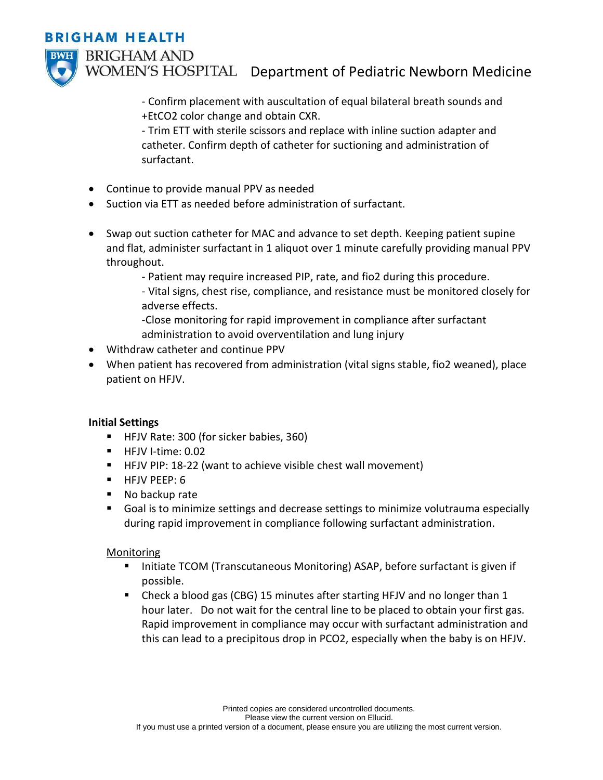# **BRIGHAM HEALTH**



WOMEN'S HOSPITAL Department of Pediatric Newborn Medicine

- Confirm placement with auscultation of equal bilateral breath sounds and +EtCO2 color change and obtain CXR.

- Trim ETT with sterile scissors and replace with inline suction adapter and catheter. Confirm depth of catheter for suctioning and administration of surfactant.

- Continue to provide manual PPV as needed
- Suction via ETT as needed before administration of surfactant.
- Swap out suction catheter for MAC and advance to set depth. Keeping patient supine and flat, administer surfactant in 1 aliquot over 1 minute carefully providing manual PPV throughout.

- Patient may require increased PIP, rate, and fio2 during this procedure.

- Vital signs, chest rise, compliance, and resistance must be monitored closely for adverse effects.

-Close monitoring for rapid improvement in compliance after surfactant administration to avoid overventilation and lung injury

- Withdraw catheter and continue PPV
- When patient has recovered from administration (vital signs stable, fio2 weaned), place patient on HFJV.

### **Initial Settings**

- HEJV Rate: 300 (for sicker babies, 360)
- $\blacksquare$  HFJV I-time: 0.02
- HFJV PIP: 18-22 (want to achieve visible chest wall movement)
- **HFJV PEEP: 6**
- No backup rate
- Goal is to minimize settings and decrease settings to minimize volutrauma especially during rapid improvement in compliance following surfactant administration.

### Monitoring

- Initiate TCOM (Transcutaneous Monitoring) ASAP, before surfactant is given if possible.
- Check a blood gas (CBG) 15 minutes after starting HFJV and no longer than 1 hour later. Do not wait for the central line to be placed to obtain your first gas. Rapid improvement in compliance may occur with surfactant administration and this can lead to a precipitous drop in PCO2, especially when the baby is on HFJV.